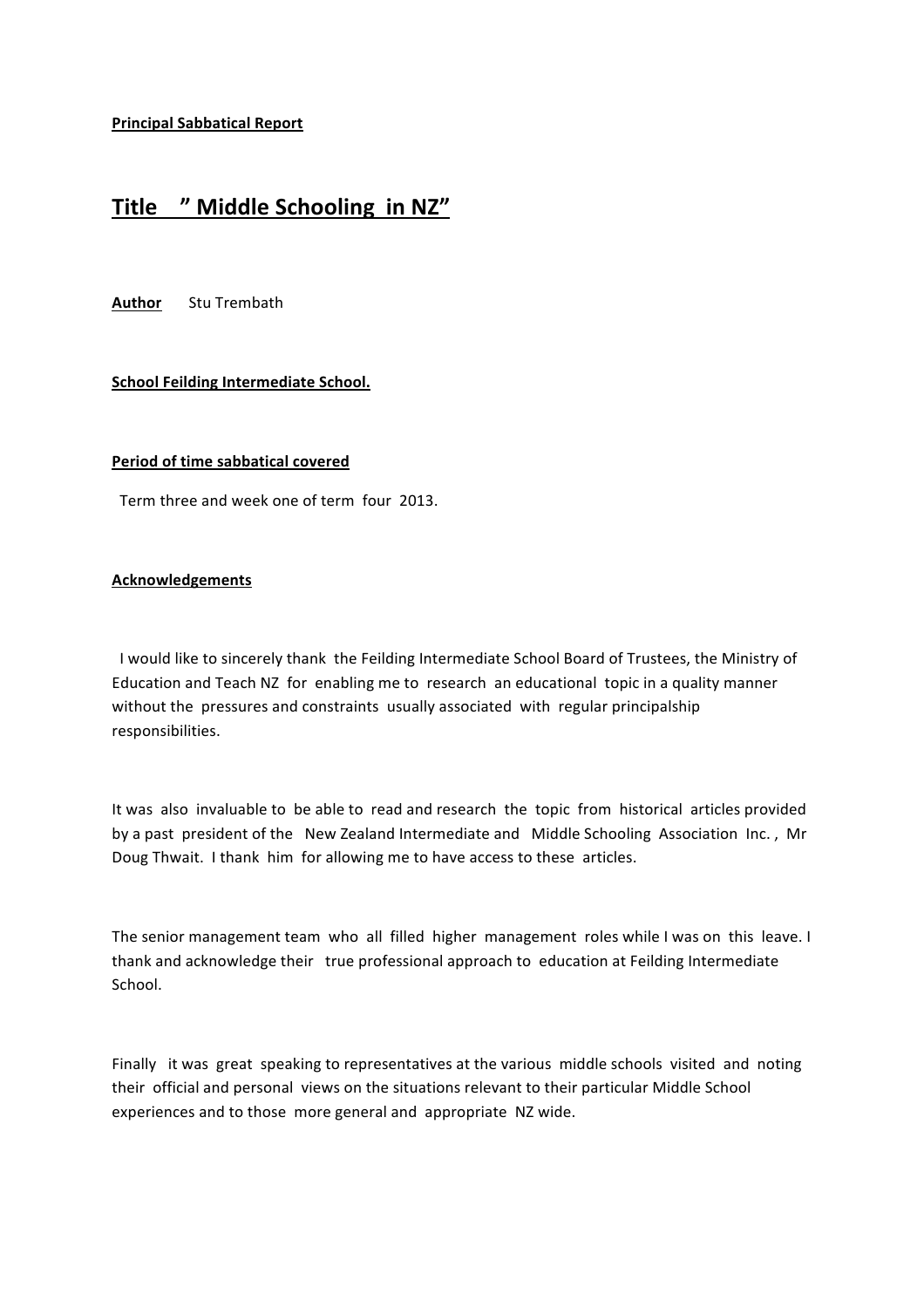**Principal Sabbatical Report** 

# Title " Middle Schooling in NZ"

**Author** Stu Trembath

## **School Feilding Intermediate School.**

#### **Period of time sabbatical covered**

Term three and week one of term four 2013.

#### **Acknowledgements**

I would like to sincerely thank the Feilding Intermediate School Board of Trustees, the Ministry of Education and Teach NZ for enabling me to research an educational topic in a quality manner without the pressures and constraints usually associated with regular principalship responsibilities.

It was also invaluable to be able to read and research the topic from historical articles provided by a past president of the New Zealand Intermediate and Middle Schooling Association Inc., Mr Doug Thwait. I thank him for allowing me to have access to these articles.

The senior management team who all filled higher management roles while I was on this leave. I thank and acknowledge their true professional approach to education at Feilding Intermediate School.

Finally it was great speaking to representatives at the various middle schools visited and noting their official and personal views on the situations relevant to their particular Middle School experiences and to those more general and appropriate NZ wide.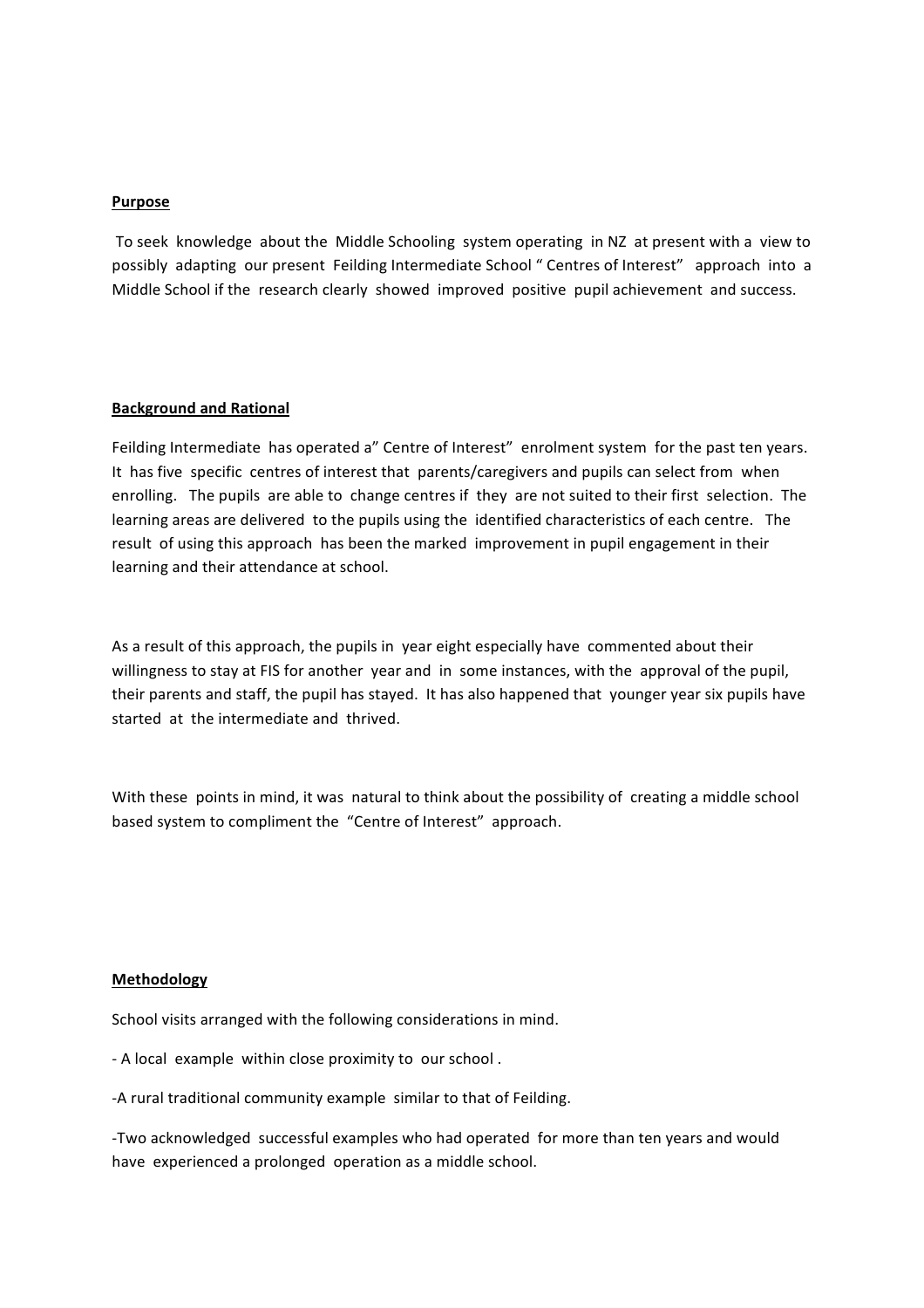## **Purpose**

To seek knowledge about the Middle Schooling system operating in NZ at present with a view to possibly adapting our present Feilding Intermediate School " Centres of Interest" approach into a Middle School if the research clearly showed improved positive pupil achievement and success.

#### **Background and Rational**

Feilding Intermediate has operated a" Centre of Interest" enrolment system for the past ten years. It has five specific centres of interest that parents/caregivers and pupils can select from when enrolling. The pupils are able to change centres if they are not suited to their first selection. The learning areas are delivered to the pupils using the identified characteristics of each centre. The result of using this approach has been the marked improvement in pupil engagement in their learning and their attendance at school.

As a result of this approach, the pupils in year eight especially have commented about their willingness to stay at FIS for another year and in some instances, with the approval of the pupil, their parents and staff, the pupil has stayed. It has also happened that younger year six pupils have started at the intermediate and thrived.

With these points in mind, it was natural to think about the possibility of creating a middle school based system to compliment the "Centre of Interest" approach.

#### **Methodology**

School visits arranged with the following considerations in mind.

- A local example within close proximity to our school.

-A rural traditional community example similar to that of Feilding.

-Two acknowledged successful examples who had operated for more than ten years and would have experienced a prolonged operation as a middle school.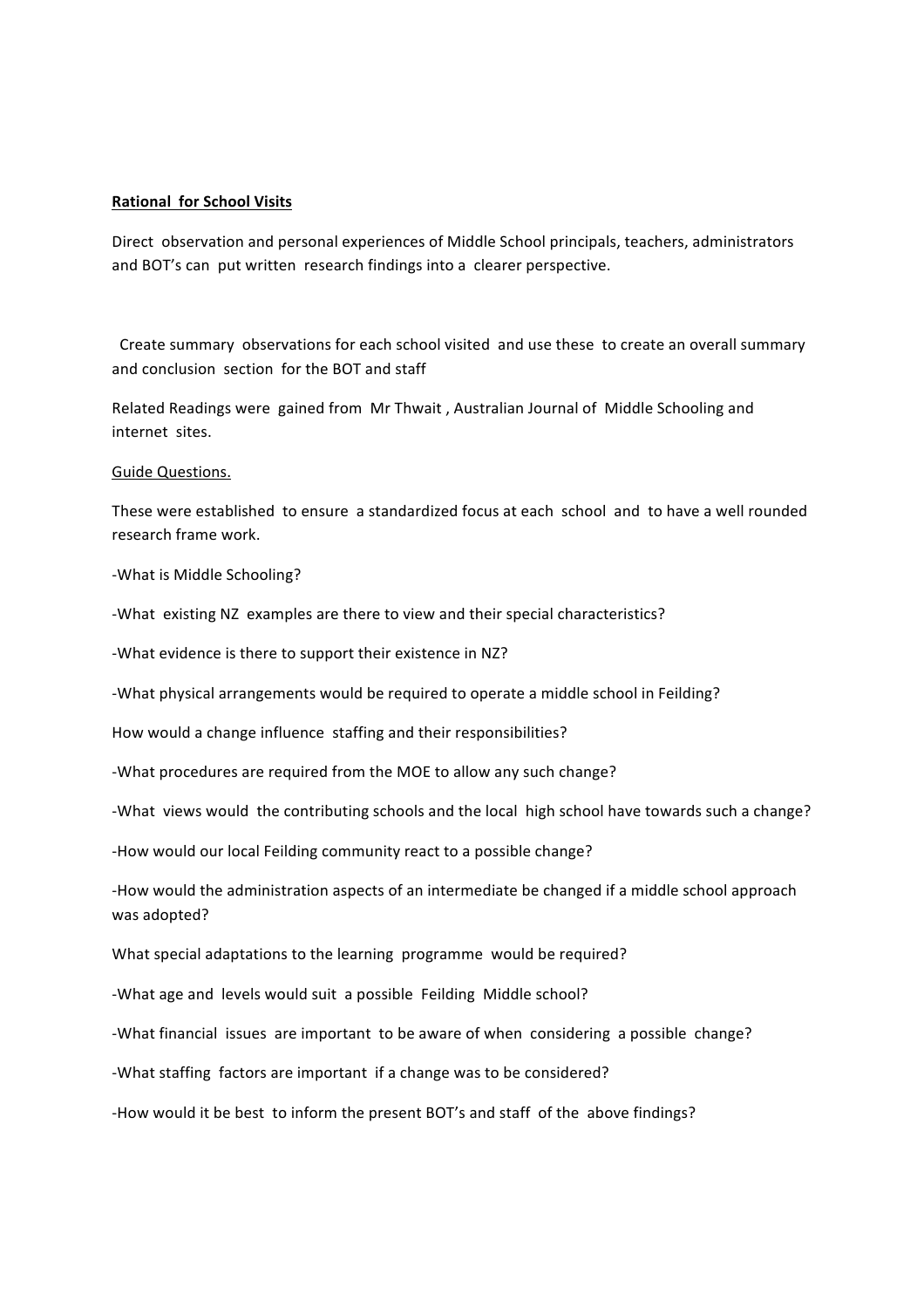#### **Rational for School Visits**

Direct observation and personal experiences of Middle School principals, teachers, administrators and BOT's can put written research findings into a clearer perspective.

Create summary observations for each school visited and use these to create an overall summary and conclusion section for the BOT and staff

Related Readings were gained from Mr Thwait, Australian Journal of Middle Schooling and internet sites.

#### Guide Questions.

These were established to ensure a standardized focus at each school and to have a well rounded research frame work.

-What is Middle Schooling?

-What existing NZ examples are there to view and their special characteristics?

-What evidence is there to support their existence in NZ?

-What physical arrangements would be required to operate a middle school in Feilding?

How would a change influence staffing and their responsibilities?

-What procedures are required from the MOE to allow any such change?

-What views would the contributing schools and the local high school have towards such a change?

-How would our local Feilding community react to a possible change?

-How would the administration aspects of an intermediate be changed if a middle school approach was adopted?

What special adaptations to the learning programme would be required?

-What age and levels would suit a possible Feilding Middle school?

-What financial issues are important to be aware of when considering a possible change?

-What staffing factors are important if a change was to be considered?

-How would it be best to inform the present BOT's and staff of the above findings?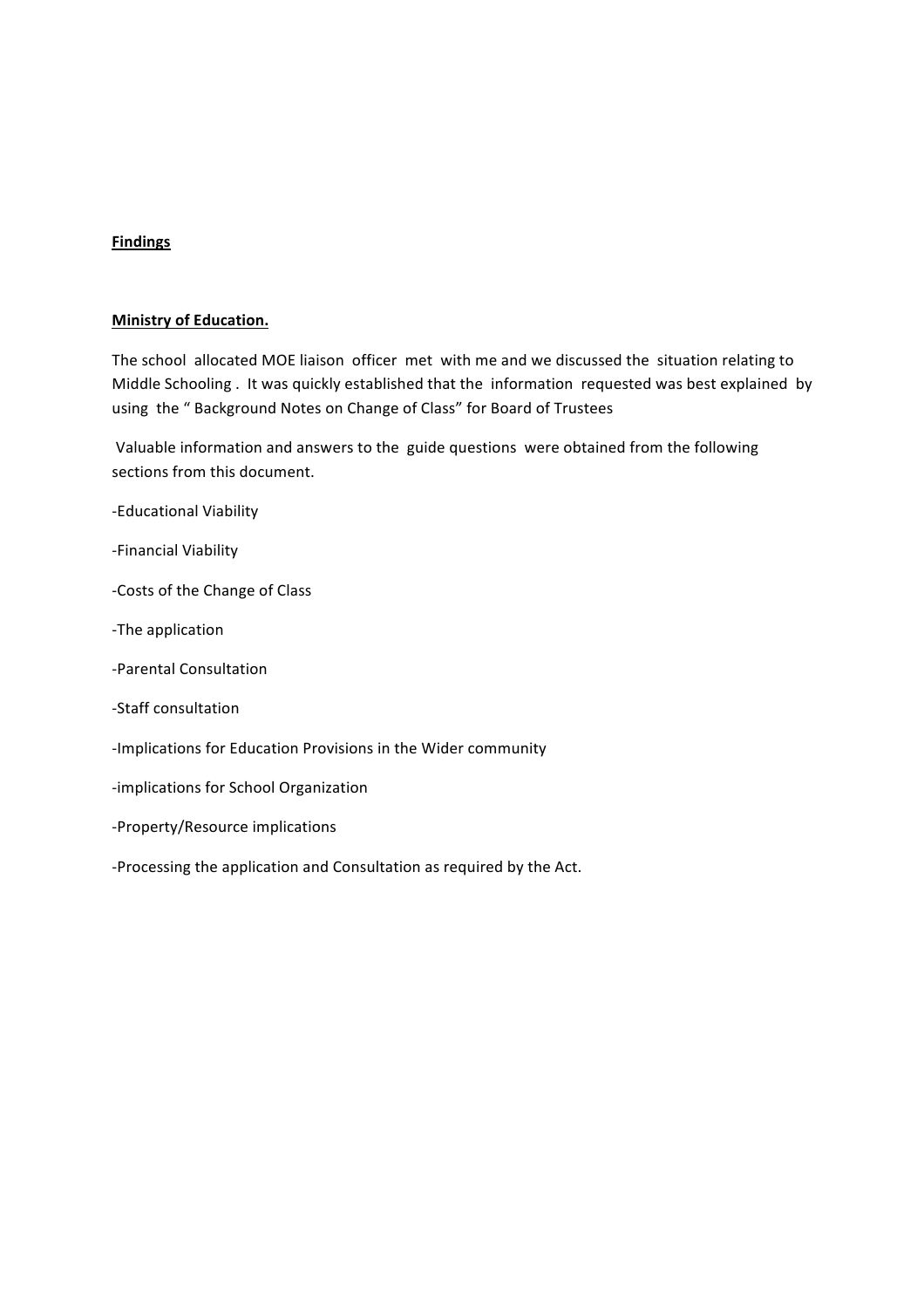# **Findings**

#### **Ministry of Education.**

The school allocated MOE liaison officer met with me and we discussed the situation relating to Middle Schooling . It was quickly established that the information requested was best explained by using the " Background Notes on Change of Class" for Board of Trustees

Valuable information and answers to the guide questions were obtained from the following sections from this document.

- -Educational Viability
- -Financial Viability
- -Costs of the Change of Class
- -The application
- -Parental Consultation
- -Staff consultation
- -Implications for Education Provisions in the Wider community
- -implications for School Organization
- -Property/Resource implications
- -Processing the application and Consultation as required by the Act.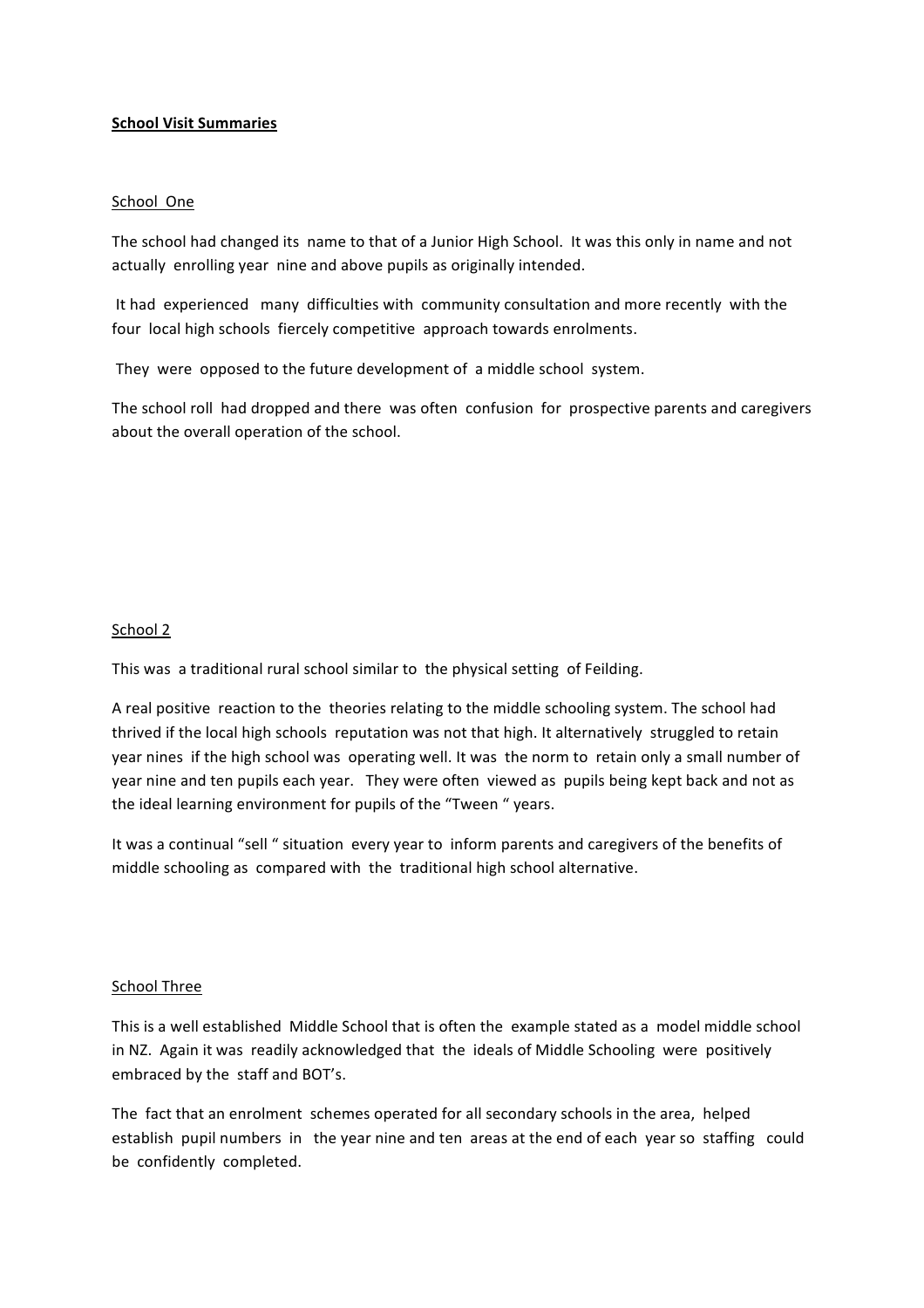## **School Visit Summaries**

## School One

The school had changed its name to that of a Junior High School. It was this only in name and not actually enrolling year nine and above pupils as originally intended.

It had experienced many difficulties with community consultation and more recently with the four local high schools fiercely competitive approach towards enrolments.

They were opposed to the future development of a middle school system.

The school roll had dropped and there was often confusion for prospective parents and caregivers about the overall operation of the school.

# School 2

This was a traditional rural school similar to the physical setting of Feilding.

A real positive reaction to the theories relating to the middle schooling system. The school had thrived if the local high schools reputation was not that high. It alternatively struggled to retain year nines if the high school was operating well. It was the norm to retain only a small number of year nine and ten pupils each year. They were often viewed as pupils being kept back and not as the ideal learning environment for pupils of the "Tween " years.

It was a continual "sell " situation every year to inform parents and caregivers of the benefits of middle schooling as compared with the traditional high school alternative.

## School Three

This is a well established Middle School that is often the example stated as a model middle school in NZ. Again it was readily acknowledged that the ideals of Middle Schooling were positively embraced by the staff and BOT's.

The fact that an enrolment schemes operated for all secondary schools in the area, helped establish pupil numbers in the year nine and ten areas at the end of each year so staffing could be confidently completed.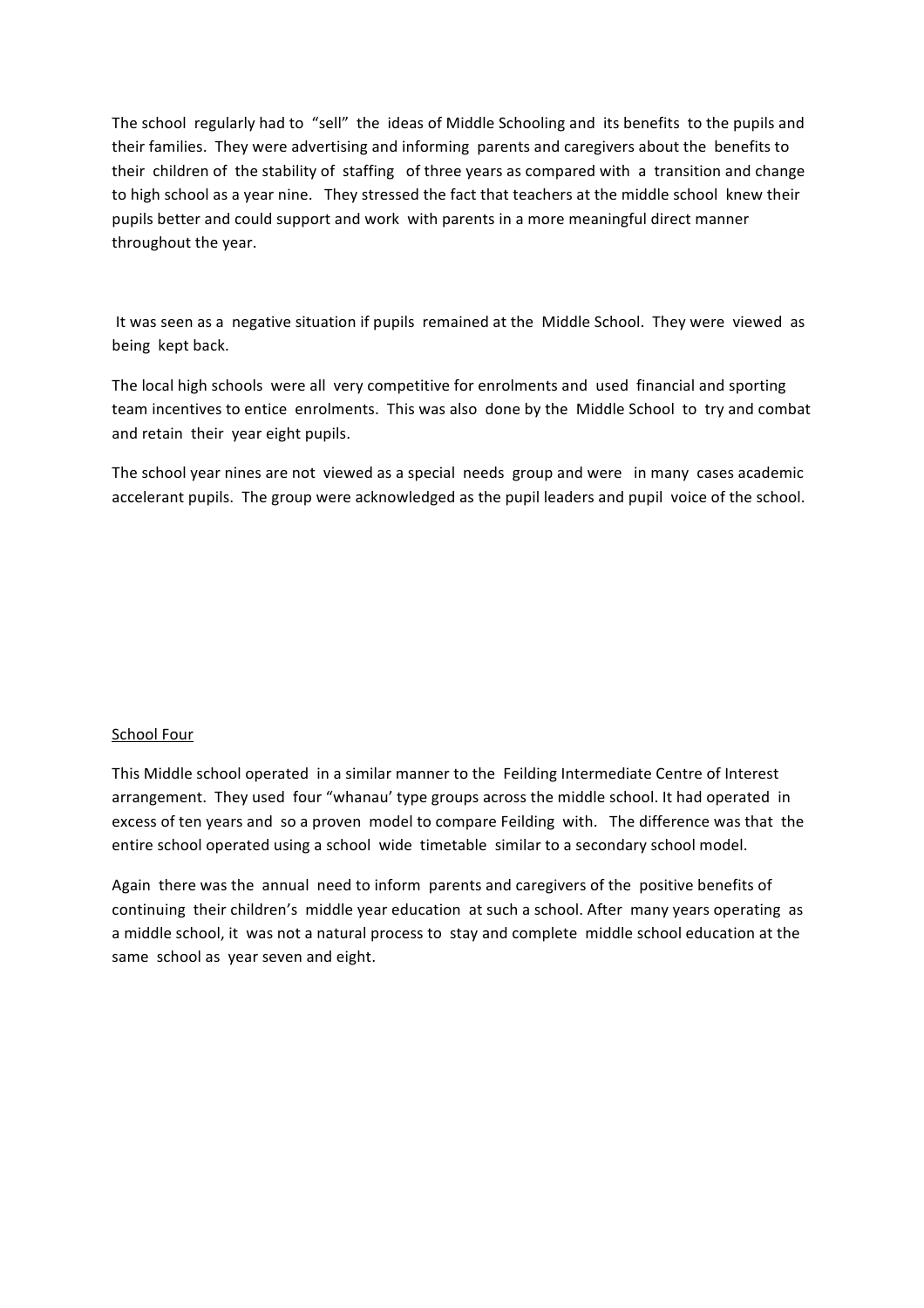The school regularly had to "sell" the ideas of Middle Schooling and its benefits to the pupils and their families. They were advertising and informing parents and caregivers about the benefits to their children of the stability of staffing of three years as compared with a transition and change to high school as a year nine. They stressed the fact that teachers at the middle school knew their pupils better and could support and work with parents in a more meaningful direct manner throughout the year.

It was seen as a negative situation if pupils remained at the Middle School. They were viewed as being kept back.

The local high schools were all very competitive for enrolments and used financial and sporting team incentives to entice enrolments. This was also done by the Middle School to try and combat and retain their year eight pupils.

The school year nines are not viewed as a special needs group and were in many cases academic accelerant pupils. The group were acknowledged as the pupil leaders and pupil voice of the school.

## School Four

This Middle school operated in a similar manner to the Feilding Intermediate Centre of Interest arrangement. They used four "whanau' type groups across the middle school. It had operated in excess of ten years and so a proven model to compare Feilding with. The difference was that the entire school operated using a school wide timetable similar to a secondary school model.

Again there was the annual need to inform parents and caregivers of the positive benefits of continuing their children's middle year education at such a school. After many years operating as a middle school, it was not a natural process to stay and complete middle school education at the same school as year seven and eight.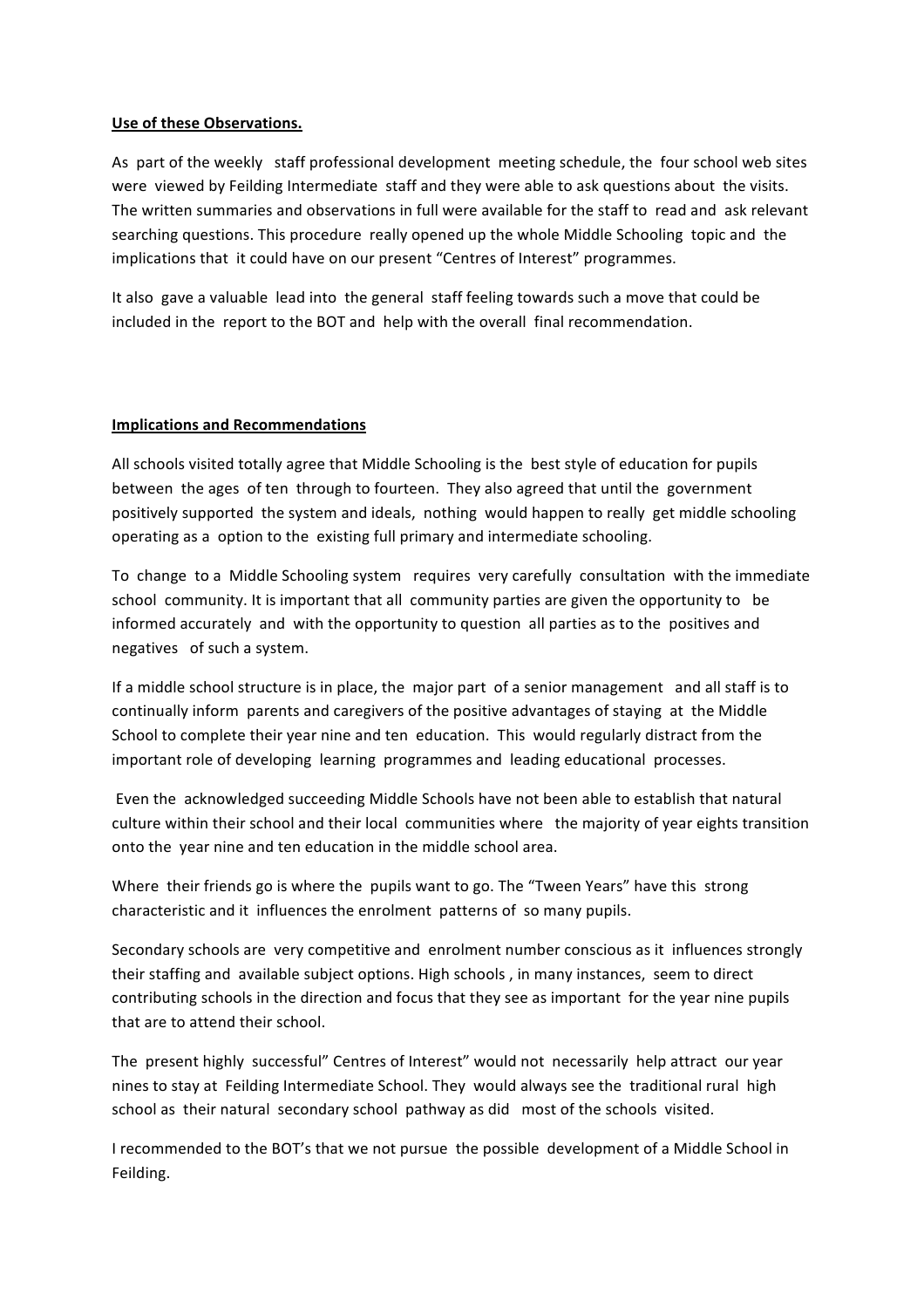## Use of these Observations.

As part of the weekly staff professional development meeting schedule, the four school web sites were viewed by Feilding Intermediate staff and they were able to ask questions about the visits. The written summaries and observations in full were available for the staff to read and ask relevant searching questions. This procedure really opened up the whole Middle Schooling topic and the implications that it could have on our present "Centres of Interest" programmes.

It also gave a valuable lead into the general staff feeling towards such a move that could be included in the report to the BOT and help with the overall final recommendation.

#### **Implications and Recommendations**

All schools visited totally agree that Middle Schooling is the best style of education for pupils between the ages of ten through to fourteen. They also agreed that until the government positively supported the system and ideals, nothing would happen to really get middle schooling operating as a option to the existing full primary and intermediate schooling.

To change to a Middle Schooling system requires very carefully consultation with the immediate school community. It is important that all community parties are given the opportunity to be informed accurately and with the opportunity to question all parties as to the positives and negatives of such a system.

If a middle school structure is in place, the major part of a senior management and all staff is to continually inform parents and caregivers of the positive advantages of staying at the Middle School to complete their year nine and ten education. This would regularly distract from the important role of developing learning programmes and leading educational processes.

Even the acknowledged succeeding Middle Schools have not been able to establish that natural culture within their school and their local communities where the majority of year eights transition onto the year nine and ten education in the middle school area.

Where their friends go is where the pupils want to go. The "Tween Years" have this strong characteristic and it influences the enrolment patterns of so many pupils.

Secondary schools are very competitive and enrolment number conscious as it influences strongly their staffing and evailable subject options. High schools, in many instances, seem to direct contributing schools in the direction and focus that they see as important for the year nine pupils that are to attend their school.

The present highly successful" Centres of Interest" would not necessarily help attract our year nines to stay at Feilding Intermediate School. They would always see the traditional rural high school as their natural secondary school pathway as did most of the schools visited.

I recommended to the BOT's that we not pursue the possible development of a Middle School in Feilding.